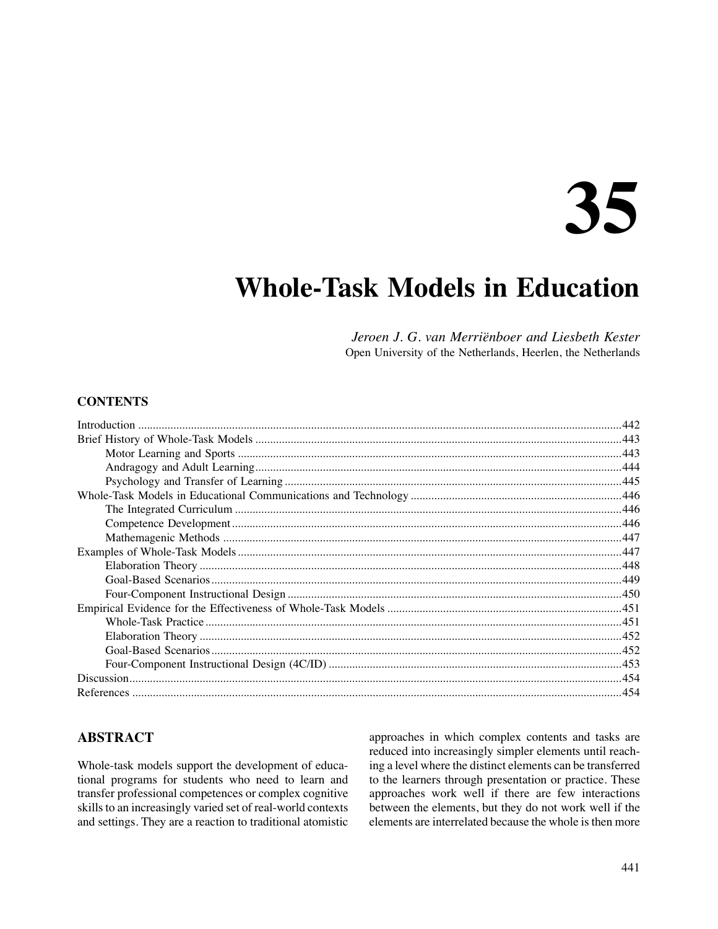# **35**

# **Whole-Task Models in Education**

*Jeroen J. G. van Merriënboer and Liesbeth Kester* Open University of the Netherlands, Heerlen, the Netherlands

# **CONTENTS**

#### **ABSTRACT**

Whole-task models support the development of educational programs for students who need to learn and transfer professional competences or complex cognitive skills to an increasingly varied set of real-world contexts and settings. They are a reaction to traditional atomistic approaches in which complex contents and tasks are reduced into increasingly simpler elements until reaching a level where the distinct elements can be transferred to the learners through presentation or practice. These approaches work well if there are few interactions between the elements, but they do not work well if the elements are interrelated because the whole is then more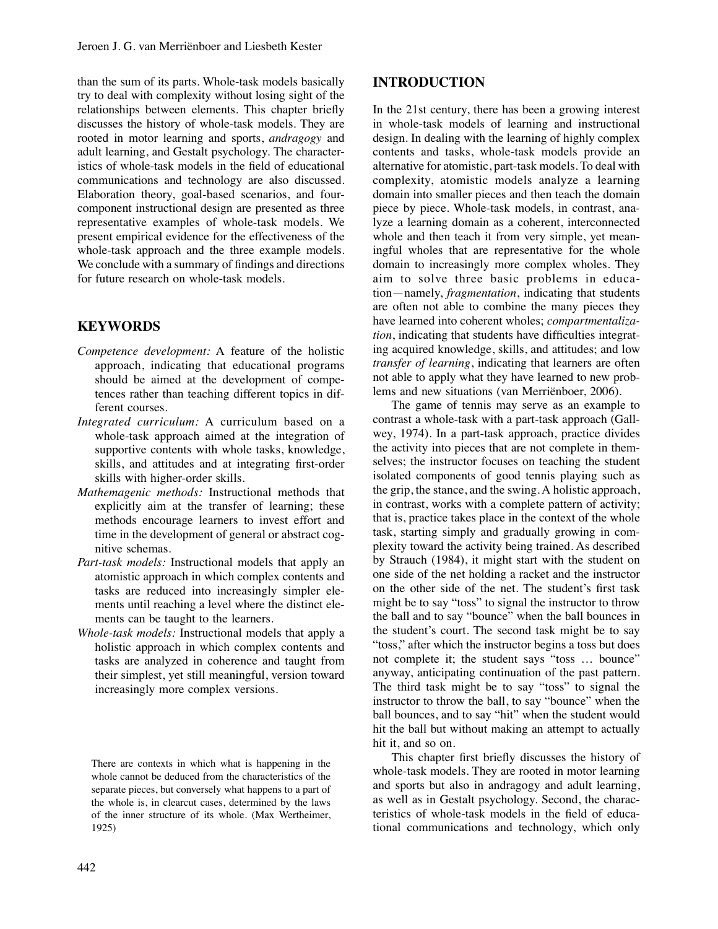than the sum of its parts. Whole-task models basically try to deal with complexity without losing sight of the relationships between elements. This chapter briefly discusses the history of whole-task models. They are rooted in motor learning and sports, *andragogy* and adult learning, and Gestalt psychology. The characteristics of whole-task models in the field of educational communications and technology are also discussed. Elaboration theory, goal-based scenarios, and fourcomponent instructional design are presented as three representative examples of whole-task models. We present empirical evidence for the effectiveness of the whole-task approach and the three example models. We conclude with a summary of findings and directions for future research on whole-task models.

# **KEYWORDS**

- *Competence development:* A feature of the holistic approach, indicating that educational programs should be aimed at the development of competences rather than teaching different topics in different courses.
- *Integrated curriculum:* A curriculum based on a whole-task approach aimed at the integration of supportive contents with whole tasks, knowledge, skills, and attitudes and at integrating first-order skills with higher-order skills.
- *Mathemagenic methods:* Instructional methods that explicitly aim at the transfer of learning; these methods encourage learners to invest effort and time in the development of general or abstract cognitive schemas.
- *Part-task models:* Instructional models that apply an atomistic approach in which complex contents and tasks are reduced into increasingly simpler elements until reaching a level where the distinct elements can be taught to the learners.
- *Whole-task models:* Instructional models that apply a holistic approach in which complex contents and tasks are analyzed in coherence and taught from their simplest, yet still meaningful, version toward increasingly more complex versions.

# **INTRODUCTION**

In the 21st century, there has been a growing interest in whole-task models of learning and instructional design. In dealing with the learning of highly complex contents and tasks, whole-task models provide an alternative for atomistic, part-task models. To deal with complexity, atomistic models analyze a learning domain into smaller pieces and then teach the domain piece by piece. Whole-task models, in contrast, analyze a learning domain as a coherent, interconnected whole and then teach it from very simple, yet meaningful wholes that are representative for the whole domain to increasingly more complex wholes. They aim to solve three basic problems in education—namely, *fragmentation*, indicating that students are often not able to combine the many pieces they have learned into coherent wholes; *compartmentalization*, indicating that students have difficulties integrating acquired knowledge, skills, and attitudes; and low *transfer of learning*, indicating that learners are often not able to apply what they have learned to new problems and new situations (van Merriënboer, 2006).

The game of tennis may serve as an example to contrast a whole-task with a part-task approach (Gallwey, 1974). In a part-task approach, practice divides the activity into pieces that are not complete in themselves; the instructor focuses on teaching the student isolated components of good tennis playing such as the grip, the stance, and the swing. A holistic approach, in contrast, works with a complete pattern of activity; that is, practice takes place in the context of the whole task, starting simply and gradually growing in complexity toward the activity being trained. As described by Strauch (1984), it might start with the student on one side of the net holding a racket and the instructor on the other side of the net. The student's first task might be to say "toss" to signal the instructor to throw the ball and to say "bounce" when the ball bounces in the student's court. The second task might be to say "toss," after which the instructor begins a toss but does not complete it; the student says "toss … bounce" anyway, anticipating continuation of the past pattern. The third task might be to say "toss" to signal the instructor to throw the ball, to say "bounce" when the ball bounces, and to say "hit" when the student would hit the ball but without making an attempt to actually hit it, and so on.

This chapter first briefly discusses the history of whole-task models. They are rooted in motor learning and sports but also in andragogy and adult learning, as well as in Gestalt psychology. Second, the characteristics of whole-task models in the field of educational communications and technology, which only

There are contexts in which what is happening in the whole cannot be deduced from the characteristics of the separate pieces, but conversely what happens to a part of the whole is, in clearcut cases, determined by the laws of the inner structure of its whole. (Max Wertheimer, 1925)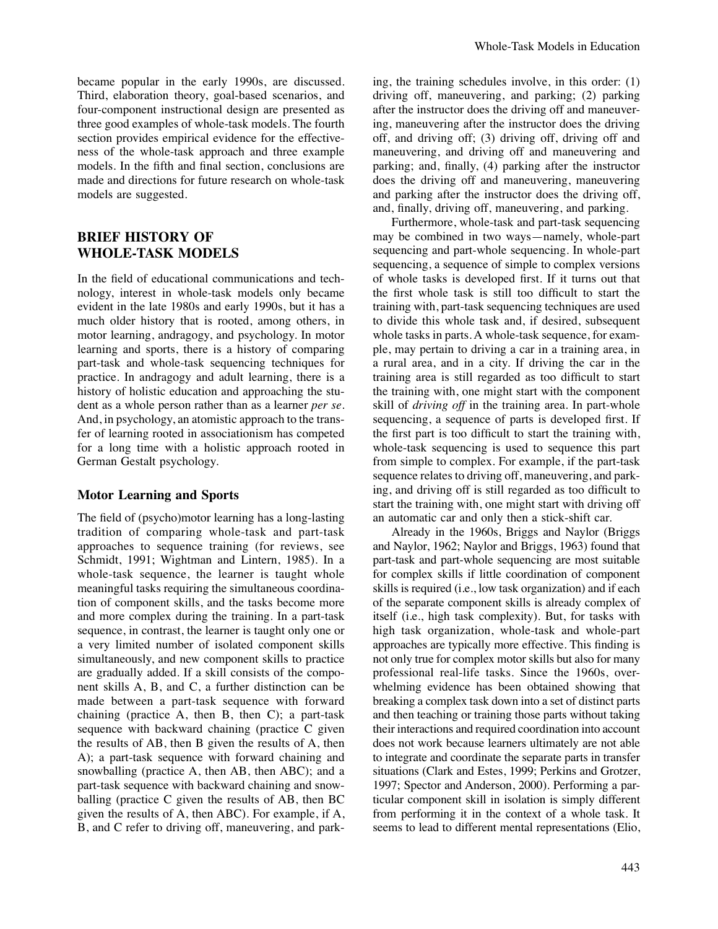became popular in the early 1990s, are discussed. Third, elaboration theory, goal-based scenarios, and four-component instructional design are presented as three good examples of whole-task models. The fourth section provides empirical evidence for the effectiveness of the whole-task approach and three example models. In the fifth and final section, conclusions are made and directions for future research on whole-task models are suggested.

## **BRIEF HISTORY OF WHOLE-TASK MODELS**

In the field of educational communications and technology, interest in whole-task models only became evident in the late 1980s and early 1990s, but it has a much older history that is rooted, among others, in motor learning, andragogy, and psychology. In motor learning and sports, there is a history of comparing part-task and whole-task sequencing techniques for practice. In andragogy and adult learning, there is a history of holistic education and approaching the student as a whole person rather than as a learner *per se*. And, in psychology, an atomistic approach to the transfer of learning rooted in associationism has competed for a long time with a holistic approach rooted in German Gestalt psychology.

#### **Motor Learning and Sports**

The field of (psycho)motor learning has a long-lasting tradition of comparing whole-task and part-task approaches to sequence training (for reviews, see Schmidt, 1991; Wightman and Lintern, 1985). In a whole-task sequence, the learner is taught whole meaningful tasks requiring the simultaneous coordination of component skills, and the tasks become more and more complex during the training. In a part-task sequence, in contrast, the learner is taught only one or a very limited number of isolated component skills simultaneously, and new component skills to practice are gradually added. If a skill consists of the component skills A, B, and C, a further distinction can be made between a part-task sequence with forward chaining (practice A, then B, then C); a part-task sequence with backward chaining (practice C given the results of AB, then B given the results of A, then A); a part-task sequence with forward chaining and snowballing (practice A, then AB, then ABC); and a part-task sequence with backward chaining and snowballing (practice C given the results of AB, then BC given the results of A, then ABC). For example, if A, B, and C refer to driving off, maneuvering, and parking, the training schedules involve, in this order: (1) driving off, maneuvering, and parking; (2) parking after the instructor does the driving off and maneuvering, maneuvering after the instructor does the driving off, and driving off; (3) driving off, driving off and maneuvering, and driving off and maneuvering and parking; and, finally, (4) parking after the instructor does the driving off and maneuvering, maneuvering and parking after the instructor does the driving off, and, finally, driving off, maneuvering, and parking.

Furthermore, whole-task and part-task sequencing may be combined in two ways—namely, whole-part sequencing and part-whole sequencing. In whole-part sequencing, a sequence of simple to complex versions of whole tasks is developed first. If it turns out that the first whole task is still too difficult to start the training with, part-task sequencing techniques are used to divide this whole task and, if desired, subsequent whole tasks in parts. A whole-task sequence, for example, may pertain to driving a car in a training area, in a rural area, and in a city. If driving the car in the training area is still regarded as too difficult to start the training with, one might start with the component skill of *driving off* in the training area. In part-whole sequencing, a sequence of parts is developed first. If the first part is too difficult to start the training with, whole-task sequencing is used to sequence this part from simple to complex. For example, if the part-task sequence relates to driving off, maneuvering, and parking, and driving off is still regarded as too difficult to start the training with, one might start with driving off an automatic car and only then a stick-shift car.

Already in the 1960s, Briggs and Naylor (Briggs and Naylor, 1962; Naylor and Briggs, 1963) found that part-task and part-whole sequencing are most suitable for complex skills if little coordination of component skills is required (i.e., low task organization) and if each of the separate component skills is already complex of itself (i.e., high task complexity). But, for tasks with high task organization, whole-task and whole-part approaches are typically more effective. This finding is not only true for complex motor skills but also for many professional real-life tasks. Since the 1960s, overwhelming evidence has been obtained showing that breaking a complex task down into a set of distinct parts and then teaching or training those parts without taking their interactions and required coordination into account does not work because learners ultimately are not able to integrate and coordinate the separate parts in transfer situations (Clark and Estes, 1999; Perkins and Grotzer, 1997; Spector and Anderson, 2000). Performing a particular component skill in isolation is simply different from performing it in the context of a whole task. It seems to lead to different mental representations (Elio,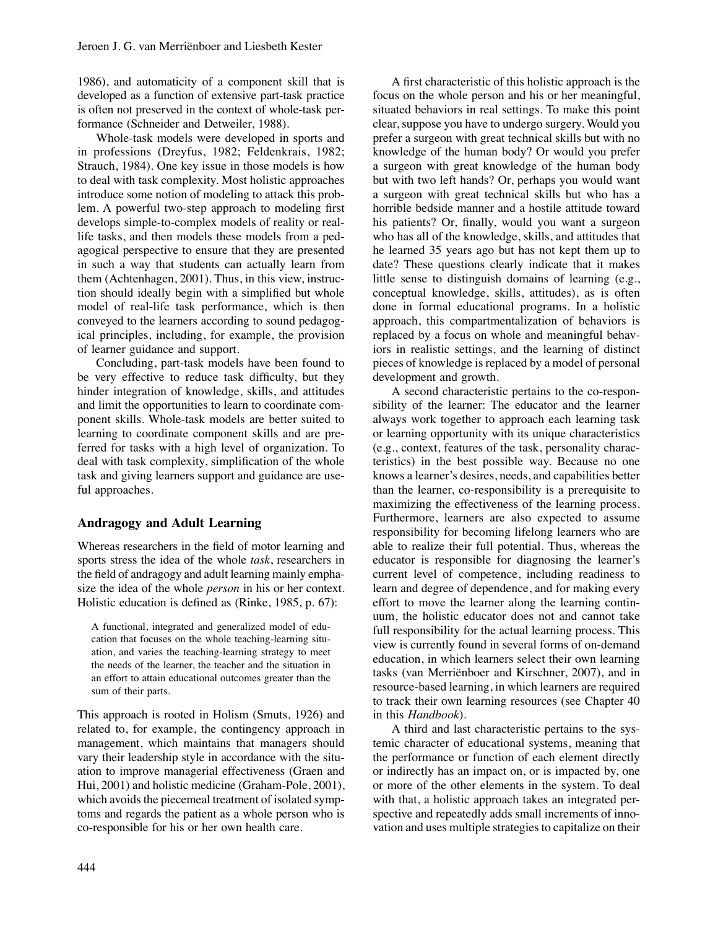1986), and automaticity of a component skill that is developed as a function of extensive part-task practice is often not preserved in the context of whole-task performance (Schneider and Detweiler, 1988).

Whole-task models were developed in sports and in professions (Dreyfus, 1982; Feldenkrais, 1982; Strauch, 1984). One key issue in those models is how to deal with task complexity. Most holistic approaches introduce some notion of modeling to attack this problem. A powerful two-step approach to modeling first develops simple-to-complex models of reality or reallife tasks, and then models these models from a pedagogical perspective to ensure that they are presented in such a way that students can actually learn from them (Achtenhagen, 2001). Thus, in this view, instruction should ideally begin with a simplified but whole model of real-life task performance, which is then conveyed to the learners according to sound pedagogical principles, including, for example, the provision of learner guidance and support.

Concluding, part-task models have been found to be very effective to reduce task difficulty, but they hinder integration of knowledge, skills, and attitudes and limit the opportunities to learn to coordinate component skills. Whole-task models are better suited to learning to coordinate component skills and are preferred for tasks with a high level of organization. To deal with task complexity, simplification of the whole task and giving learners support and guidance are useful approaches.

# **Andragogy and Adult Learning**

Whereas researchers in the field of motor learning and sports stress the idea of the whole *task*, researchers in the field of andragogy and adult learning mainly emphasize the idea of the whole *person* in his or her context. Holistic education is defined as (Rinke, 1985, p. 67):

A functional, integrated and generalized model of education that focuses on the whole teaching-learning situation, and varies the teaching-learning strategy to meet the needs of the learner, the teacher and the situation in an effort to attain educational outcomes greater than the sum of their parts.

This approach is rooted in Holism (Smuts, 1926) and related to, for example, the contingency approach in management, which maintains that managers should vary their leadership style in accordance with the situation to improve managerial effectiveness (Graen and Hui, 2001) and holistic medicine (Graham-Pole, 2001), which avoids the piecemeal treatment of isolated symptoms and regards the patient as a whole person who is co-responsible for his or her own health care.

A first characteristic of this holistic approach is the focus on the whole person and his or her meaningful, situated behaviors in real settings. To make this point clear, suppose you have to undergo surgery. Would you prefer a surgeon with great technical skills but with no knowledge of the human body? Or would you prefer a surgeon with great knowledge of the human body but with two left hands? Or, perhaps you would want a surgeon with great technical skills but who has a horrible bedside manner and a hostile attitude toward his patients? Or, finally, would you want a surgeon who has all of the knowledge, skills, and attitudes that he learned 35 years ago but has not kept them up to date? These questions clearly indicate that it makes little sense to distinguish domains of learning (e.g., conceptual knowledge, skills, attitudes), as is often done in formal educational programs. In a holistic approach, this compartmentalization of behaviors is replaced by a focus on whole and meaningful behaviors in realistic settings, and the learning of distinct pieces of knowledge is replaced by a model of personal development and growth.

A second characteristic pertains to the co-responsibility of the learner: The educator and the learner always work together to approach each learning task or learning opportunity with its unique characteristics (e.g., context, features of the task, personality characteristics) in the best possible way. Because no one knows a learner's desires, needs, and capabilities better than the learner, co-responsibility is a prerequisite to maximizing the effectiveness of the learning process. Furthermore, learners are also expected to assume responsibility for becoming lifelong learners who are able to realize their full potential. Thus, whereas the educator is responsible for diagnosing the learner's current level of competence, including readiness to learn and degree of dependence, and for making every effort to move the learner along the learning continuum, the holistic educator does not and cannot take full responsibility for the actual learning process. This view is currently found in several forms of on-demand education, in which learners select their own learning tasks (van Merriënboer and Kirschner, 2007), and in resource-based learning, in which learners are required to track their own learning resources (see Chapter 40 in this *Handbook*).

A third and last characteristic pertains to the systemic character of educational systems, meaning that the performance or function of each element directly or indirectly has an impact on, or is impacted by, one or more of the other elements in the system. To deal with that, a holistic approach takes an integrated perspective and repeatedly adds small increments of innovation and uses multiple strategies to capitalize on their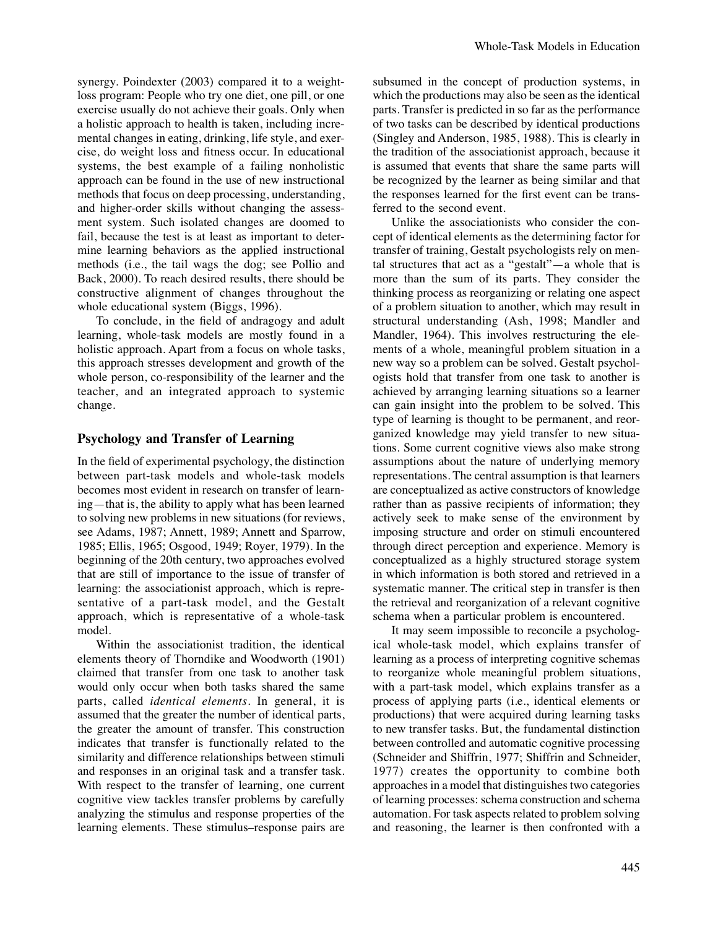synergy. Poindexter (2003) compared it to a weightloss program: People who try one diet, one pill, or one exercise usually do not achieve their goals. Only when a holistic approach to health is taken, including incremental changes in eating, drinking, life style, and exercise, do weight loss and fitness occur. In educational systems, the best example of a failing nonholistic approach can be found in the use of new instructional methods that focus on deep processing, understanding, and higher-order skills without changing the assessment system. Such isolated changes are doomed to fail, because the test is at least as important to determine learning behaviors as the applied instructional methods (i.e., the tail wags the dog; see Pollio and Back, 2000). To reach desired results, there should be constructive alignment of changes throughout the whole educational system (Biggs, 1996).

To conclude, in the field of andragogy and adult learning, whole-task models are mostly found in a holistic approach. Apart from a focus on whole tasks, this approach stresses development and growth of the whole person, co-responsibility of the learner and the teacher, and an integrated approach to systemic change.

#### **Psychology and Transfer of Learning**

In the field of experimental psychology, the distinction between part-task models and whole-task models becomes most evident in research on transfer of learning—that is, the ability to apply what has been learned to solving new problems in new situations (for reviews, see Adams, 1987; Annett, 1989; Annett and Sparrow, 1985; Ellis, 1965; Osgood, 1949; Royer, 1979). In the beginning of the 20th century, two approaches evolved that are still of importance to the issue of transfer of learning: the associationist approach, which is representative of a part-task model, and the Gestalt approach, which is representative of a whole-task model.

Within the associationist tradition, the identical elements theory of Thorndike and Woodworth (1901) claimed that transfer from one task to another task would only occur when both tasks shared the same parts, called *identical elements*. In general, it is assumed that the greater the number of identical parts, the greater the amount of transfer. This construction indicates that transfer is functionally related to the similarity and difference relationships between stimuli and responses in an original task and a transfer task. With respect to the transfer of learning, one current cognitive view tackles transfer problems by carefully analyzing the stimulus and response properties of the learning elements. These stimulus–response pairs are

subsumed in the concept of production systems, in which the productions may also be seen as the identical parts. Transfer is predicted in so far as the performance of two tasks can be described by identical productions (Singley and Anderson, 1985, 1988). This is clearly in the tradition of the associationist approach, because it is assumed that events that share the same parts will be recognized by the learner as being similar and that the responses learned for the first event can be transferred to the second event.

Unlike the associationists who consider the concept of identical elements as the determining factor for transfer of training, Gestalt psychologists rely on mental structures that act as a "gestalt"—a whole that is more than the sum of its parts. They consider the thinking process as reorganizing or relating one aspect of a problem situation to another, which may result in structural understanding (Ash, 1998; Mandler and Mandler, 1964). This involves restructuring the elements of a whole, meaningful problem situation in a new way so a problem can be solved. Gestalt psychologists hold that transfer from one task to another is achieved by arranging learning situations so a learner can gain insight into the problem to be solved. This type of learning is thought to be permanent, and reorganized knowledge may yield transfer to new situations. Some current cognitive views also make strong assumptions about the nature of underlying memory representations. The central assumption is that learners are conceptualized as active constructors of knowledge rather than as passive recipients of information; they actively seek to make sense of the environment by imposing structure and order on stimuli encountered through direct perception and experience. Memory is conceptualized as a highly structured storage system in which information is both stored and retrieved in a systematic manner. The critical step in transfer is then the retrieval and reorganization of a relevant cognitive schema when a particular problem is encountered.

It may seem impossible to reconcile a psychological whole-task model, which explains transfer of learning as a process of interpreting cognitive schemas to reorganize whole meaningful problem situations, with a part-task model, which explains transfer as a process of applying parts (i.e., identical elements or productions) that were acquired during learning tasks to new transfer tasks. But, the fundamental distinction between controlled and automatic cognitive processing (Schneider and Shiffrin, 1977; Shiffrin and Schneider, 1977) creates the opportunity to combine both approaches in a model that distinguishes two categories of learning processes: schema construction and schema automation. For task aspects related to problem solving and reasoning, the learner is then confronted with a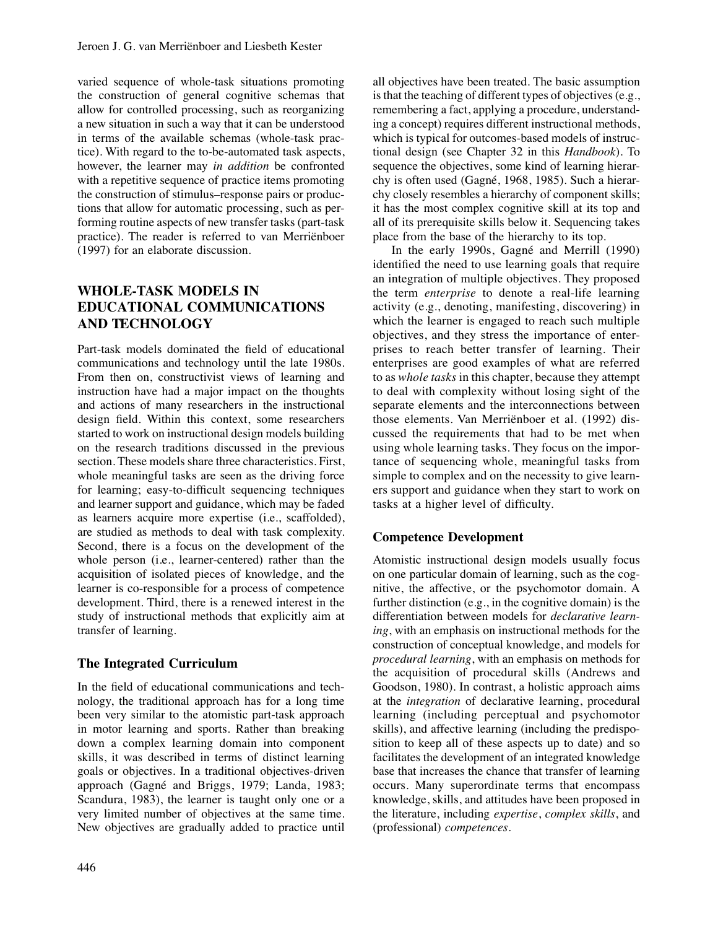varied sequence of whole-task situations promoting the construction of general cognitive schemas that allow for controlled processing, such as reorganizing a new situation in such a way that it can be understood in terms of the available schemas (whole-task practice). With regard to the to-be-automated task aspects, however, the learner may *in addition* be confronted with a repetitive sequence of practice items promoting the construction of stimulus–response pairs or productions that allow for automatic processing, such as performing routine aspects of new transfer tasks (part-task practice). The reader is referred to van Merriënboer (1997) for an elaborate discussion.

# **WHOLE-TASK MODELS IN EDUCATIONAL COMMUNICATIONS AND TECHNOLOGY**

Part-task models dominated the field of educational communications and technology until the late 1980s. From then on, constructivist views of learning and instruction have had a major impact on the thoughts and actions of many researchers in the instructional design field. Within this context, some researchers started to work on instructional design models building on the research traditions discussed in the previous section. These models share three characteristics. First, whole meaningful tasks are seen as the driving force for learning; easy-to-difficult sequencing techniques and learner support and guidance, which may be faded as learners acquire more expertise (i.e., scaffolded), are studied as methods to deal with task complexity. Second, there is a focus on the development of the whole person (i.e., learner-centered) rather than the acquisition of isolated pieces of knowledge, and the learner is co-responsible for a process of competence development. Third, there is a renewed interest in the study of instructional methods that explicitly aim at transfer of learning.

# **The Integrated Curriculum**

In the field of educational communications and technology, the traditional approach has for a long time been very similar to the atomistic part-task approach in motor learning and sports. Rather than breaking down a complex learning domain into component skills, it was described in terms of distinct learning goals or objectives. In a traditional objectives-driven approach (Gagné and Briggs, 1979; Landa, 1983; Scandura, 1983), the learner is taught only one or a very limited number of objectives at the same time. New objectives are gradually added to practice until

all objectives have been treated. The basic assumption is that the teaching of different types of objectives (e.g., remembering a fact, applying a procedure, understanding a concept) requires different instructional methods, which is typical for outcomes-based models of instructional design (see Chapter 32 in this *Handbook*). To sequence the objectives, some kind of learning hierarchy is often used (Gagné, 1968, 1985). Such a hierarchy closely resembles a hierarchy of component skills; it has the most complex cognitive skill at its top and all of its prerequisite skills below it. Sequencing takes place from the base of the hierarchy to its top.

In the early 1990s, Gagné and Merrill (1990) identified the need to use learning goals that require an integration of multiple objectives. They proposed the term *enterprise* to denote a real-life learning activity (e.g., denoting, manifesting, discovering) in which the learner is engaged to reach such multiple objectives, and they stress the importance of enterprises to reach better transfer of learning. Their enterprises are good examples of what are referred to as *whole tasks* in this chapter, because they attempt to deal with complexity without losing sight of the separate elements and the interconnections between those elements. Van Merriënboer et al. (1992) discussed the requirements that had to be met when using whole learning tasks. They focus on the importance of sequencing whole, meaningful tasks from simple to complex and on the necessity to give learners support and guidance when they start to work on tasks at a higher level of difficulty.

#### **Competence Development**

Atomistic instructional design models usually focus on one particular domain of learning, such as the cognitive, the affective, or the psychomotor domain. A further distinction (e.g., in the cognitive domain) is the differentiation between models for *declarative learning*, with an emphasis on instructional methods for the construction of conceptual knowledge, and models for *procedural learning*, with an emphasis on methods for the acquisition of procedural skills (Andrews and Goodson, 1980). In contrast, a holistic approach aims at the *integration* of declarative learning, procedural learning (including perceptual and psychomotor skills), and affective learning (including the predisposition to keep all of these aspects up to date) and so facilitates the development of an integrated knowledge base that increases the chance that transfer of learning occurs. Many superordinate terms that encompass knowledge, skills, and attitudes have been proposed in the literature, including *expertise*, *complex skills*, and (professional) *competences*.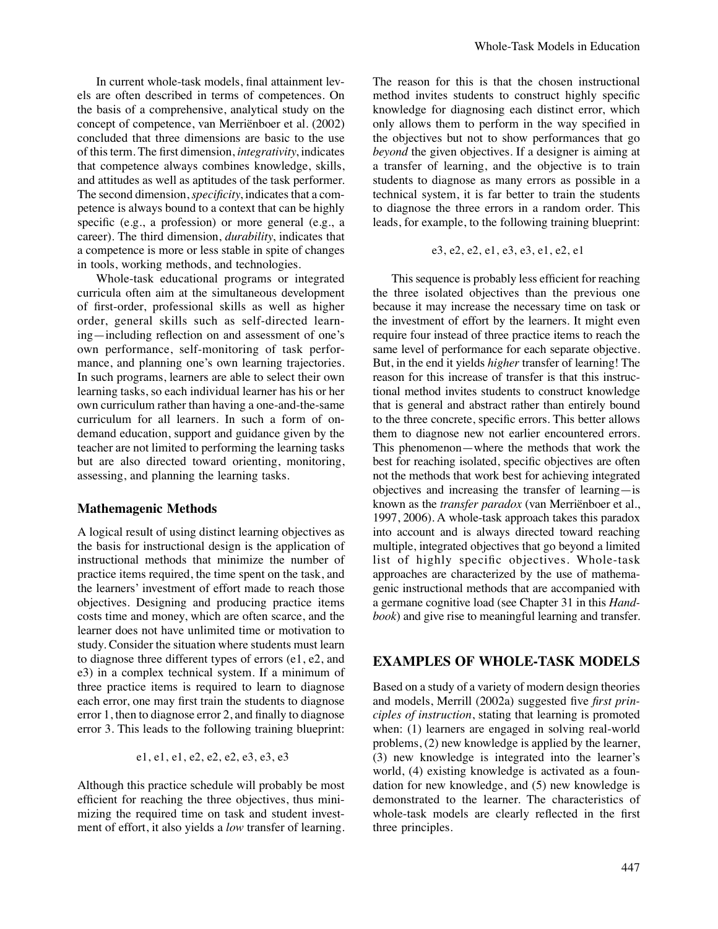In current whole-task models, final attainment levels are often described in terms of competences. On the basis of a comprehensive, analytical study on the concept of competence, van Merriënboer et al. (2002) concluded that three dimensions are basic to the use of this term. The first dimension, *integrativity*, indicates that competence always combines knowledge, skills, and attitudes as well as aptitudes of the task performer. The second dimension, *specificity*, indicates that a competence is always bound to a context that can be highly specific (e.g., a profession) or more general (e.g., a career). The third dimension, *durability*, indicates that a competence is more or less stable in spite of changes in tools, working methods, and technologies.

Whole-task educational programs or integrated curricula often aim at the simultaneous development of first-order, professional skills as well as higher order, general skills such as self-directed learning—including reflection on and assessment of one's own performance, self-monitoring of task performance, and planning one's own learning trajectories. In such programs, learners are able to select their own learning tasks, so each individual learner has his or her own curriculum rather than having a one-and-the-same curriculum for all learners. In such a form of ondemand education, support and guidance given by the teacher are not limited to performing the learning tasks but are also directed toward orienting, monitoring, assessing, and planning the learning tasks.

#### **Mathemagenic Methods**

A logical result of using distinct learning objectives as the basis for instructional design is the application of instructional methods that minimize the number of practice items required, the time spent on the task, and the learners' investment of effort made to reach those objectives. Designing and producing practice items costs time and money, which are often scarce, and the learner does not have unlimited time or motivation to study. Consider the situation where students must learn to diagnose three different types of errors (e1, e2, and e3) in a complex technical system. If a minimum of three practice items is required to learn to diagnose each error, one may first train the students to diagnose error 1, then to diagnose error 2, and finally to diagnose error 3. This leads to the following training blueprint:

e1, e1, e1, e2, e2, e2, e3, e3, e3

Although this practice schedule will probably be most efficient for reaching the three objectives, thus minimizing the required time on task and student investment of effort, it also yields a *low* transfer of learning. The reason for this is that the chosen instructional method invites students to construct highly specific knowledge for diagnosing each distinct error, which only allows them to perform in the way specified in the objectives but not to show performances that go *beyond* the given objectives. If a designer is aiming at a transfer of learning, and the objective is to train students to diagnose as many errors as possible in a technical system, it is far better to train the students to diagnose the three errors in a random order. This leads, for example, to the following training blueprint:

e3, e2, e2, e1, e3, e3, e1, e2, e1

This sequence is probably less efficient for reaching the three isolated objectives than the previous one because it may increase the necessary time on task or the investment of effort by the learners. It might even require four instead of three practice items to reach the same level of performance for each separate objective. But, in the end it yields *higher* transfer of learning! The reason for this increase of transfer is that this instructional method invites students to construct knowledge that is general and abstract rather than entirely bound to the three concrete, specific errors. This better allows them to diagnose new not earlier encountered errors. This phenomenon—where the methods that work the best for reaching isolated, specific objectives are often not the methods that work best for achieving integrated objectives and increasing the transfer of learning—is known as the *transfer paradox* (van Merriënboer et al., 1997, 2006). A whole-task approach takes this paradox into account and is always directed toward reaching multiple, integrated objectives that go beyond a limited list of highly specific objectives. Whole-task approaches are characterized by the use of mathemagenic instructional methods that are accompanied with a germane cognitive load (see Chapter 31 in this *Handbook*) and give rise to meaningful learning and transfer.

#### **EXAMPLES OF WHOLE-TASK MODELS**

Based on a study of a variety of modern design theories and models, Merrill (2002a) suggested five *first principles of instruction*, stating that learning is promoted when: (1) learners are engaged in solving real-world problems, (2) new knowledge is applied by the learner, (3) new knowledge is integrated into the learner's world, (4) existing knowledge is activated as a foundation for new knowledge, and (5) new knowledge is demonstrated to the learner. The characteristics of whole-task models are clearly reflected in the first three principles.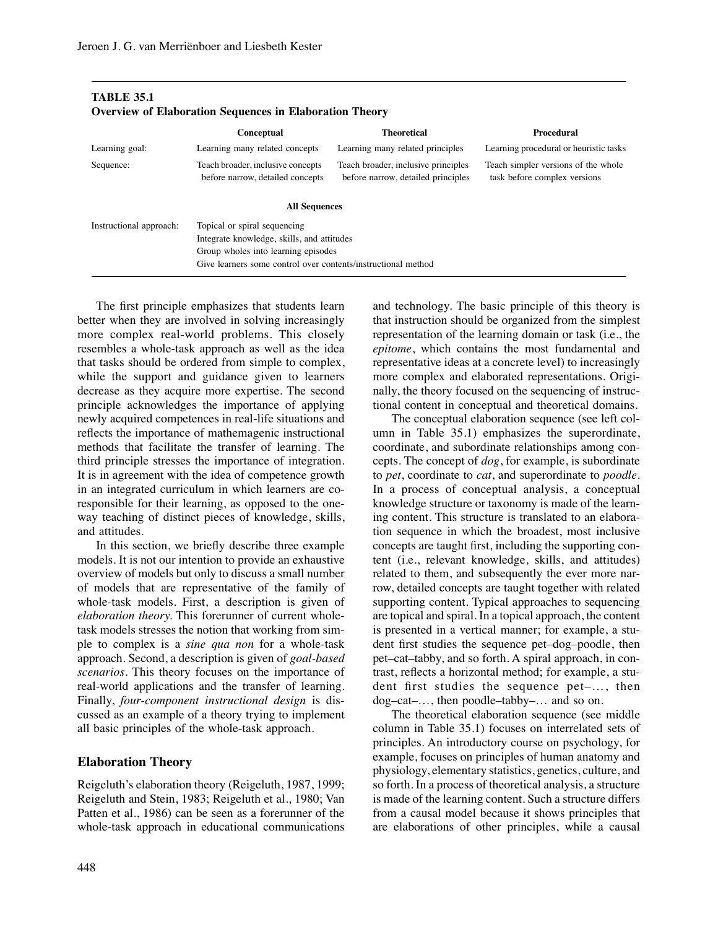|                                            | Conceptual                                                            | <b>Theoretical</b>                                                        | Procedural                                                          |  |  |
|--------------------------------------------|-----------------------------------------------------------------------|---------------------------------------------------------------------------|---------------------------------------------------------------------|--|--|
| Learning goal:                             | Learning many related concepts                                        | Learning many related principles                                          | Learning procedural or heuristic tasks                              |  |  |
| Sequence:                                  | Teach broader, inclusive concepts<br>before narrow, detailed concepts | Teach broader, inclusive principles<br>before narrow, detailed principles | Teach simpler versions of the whole<br>task before complex versions |  |  |
| <b>All Sequences</b>                       |                                                                       |                                                                           |                                                                     |  |  |
| Instructional approach:                    | Topical or spiral sequencing                                          |                                                                           |                                                                     |  |  |
| Integrate knowledge, skills, and attitudes |                                                                       |                                                                           |                                                                     |  |  |
|                                            | Group wholes into learning episodes                                   |                                                                           |                                                                     |  |  |
|                                            | Give learners some control over contents/instructional method         |                                                                           |                                                                     |  |  |

#### **TABLE 35.1 Overview of Elaboration Sequences in Elaboration Theory**

The first principle emphasizes that students learn better when they are involved in solving increasingly more complex real-world problems. This closely resembles a whole-task approach as well as the idea that tasks should be ordered from simple to complex, while the support and guidance given to learners decrease as they acquire more expertise. The second principle acknowledges the importance of applying newly acquired competences in real-life situations and reflects the importance of mathemagenic instructional methods that facilitate the transfer of learning. The third principle stresses the importance of integration. It is in agreement with the idea of competence growth in an integrated curriculum in which learners are coresponsible for their learning, as opposed to the oneway teaching of distinct pieces of knowledge, skills, and attitudes.

In this section, we briefly describe three example models. It is not our intention to provide an exhaustive overview of models but only to discuss a small number of models that are representative of the family of whole-task models. First, a description is given of *elaboration theory*. This forerunner of current wholetask models stresses the notion that working from simple to complex is a *sine qua non* for a whole-task approach. Second, a description is given of *goal-based scenarios*. This theory focuses on the importance of real-world applications and the transfer of learning. Finally, *four-component instructional design* is discussed as an example of a theory trying to implement all basic principles of the whole-task approach.

#### **Elaboration Theory**

Reigeluth's elaboration theory (Reigeluth, 1987, 1999; Reigeluth and Stein, 1983; Reigeluth et al., 1980; Van Patten et al., 1986) can be seen as a forerunner of the whole-task approach in educational communications and technology. The basic principle of this theory is that instruction should be organized from the simplest representation of the learning domain or task (i.e., the *epitome*, which contains the most fundamental and representative ideas at a concrete level) to increasingly more complex and elaborated representations. Originally, the theory focused on the sequencing of instructional content in conceptual and theoretical domains.

The conceptual elaboration sequence (see left column in Table 35.1) emphasizes the superordinate, coordinate, and subordinate relationships among concepts. The concept of *dog*, for example, is subordinate to *pet*, coordinate to *cat*, and superordinate to *poodle*. In a process of conceptual analysis, a conceptual knowledge structure or taxonomy is made of the learning content. This structure is translated to an elaboration sequence in which the broadest, most inclusive concepts are taught first, including the supporting content (i.e., relevant knowledge, skills, and attitudes) related to them, and subsequently the ever more narrow, detailed concepts are taught together with related supporting content. Typical approaches to sequencing are topical and spiral. In a topical approach, the content is presented in a vertical manner; for example, a student first studies the sequence pet–dog–poodle, then pet–cat–tabby, and so forth. A spiral approach, in contrast, reflects a horizontal method; for example, a student first studies the sequence pet–…, then dog–cat–…, then poodle–tabby–… and so on.

The theoretical elaboration sequence (see middle column in Table 35.1) focuses on interrelated sets of principles. An introductory course on psychology, for example, focuses on principles of human anatomy and physiology, elementary statistics, genetics, culture, and so forth. In a process of theoretical analysis, a structure is made of the learning content. Such a structure differs from a causal model because it shows principles that are elaborations of other principles, while a causal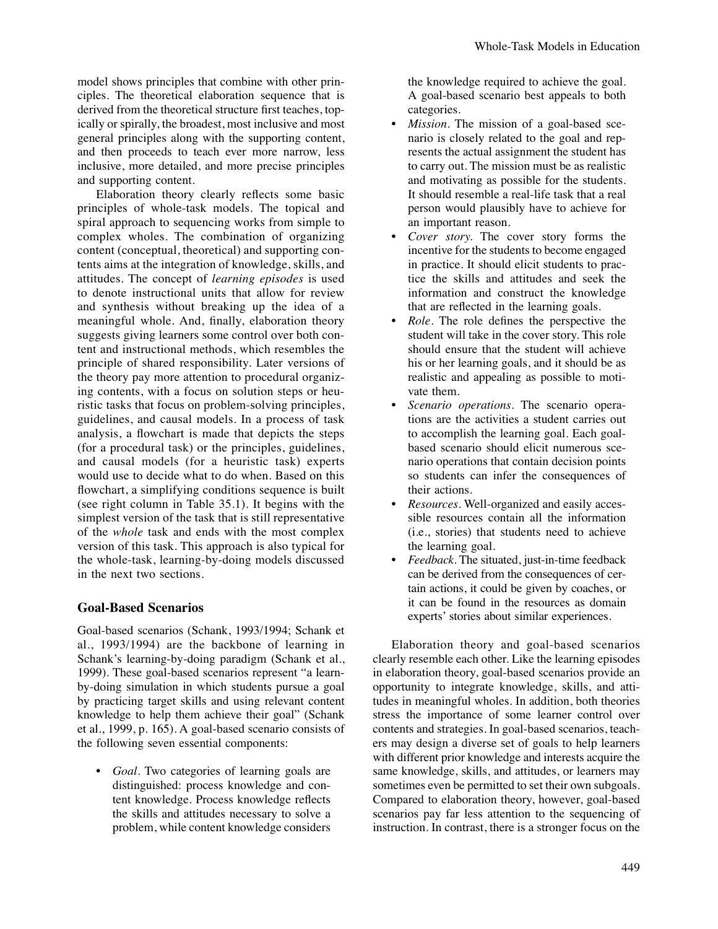model shows principles that combine with other principles. The theoretical elaboration sequence that is derived from the theoretical structure first teaches, topically or spirally, the broadest, most inclusive and most general principles along with the supporting content, and then proceeds to teach ever more narrow, less inclusive, more detailed, and more precise principles and supporting content.

Elaboration theory clearly reflects some basic principles of whole-task models. The topical and spiral approach to sequencing works from simple to complex wholes. The combination of organizing content (conceptual, theoretical) and supporting contents aims at the integration of knowledge, skills, and attitudes. The concept of *learning episodes* is used to denote instructional units that allow for review and synthesis without breaking up the idea of a meaningful whole. And, finally, elaboration theory suggests giving learners some control over both content and instructional methods, which resembles the principle of shared responsibility. Later versions of the theory pay more attention to procedural organizing contents, with a focus on solution steps or heuristic tasks that focus on problem-solving principles, guidelines, and causal models. In a process of task analysis, a flowchart is made that depicts the steps (for a procedural task) or the principles, guidelines, and causal models (for a heuristic task) experts would use to decide what to do when. Based on this flowchart, a simplifying conditions sequence is built (see right column in Table 35.1). It begins with the simplest version of the task that is still representative of the *whole* task and ends with the most complex version of this task. This approach is also typical for the whole-task, learning-by-doing models discussed in the next two sections.

#### **Goal-Based Scenarios**

Goal-based scenarios (Schank, 1993/1994; Schank et al., 1993/1994) are the backbone of learning in Schank's learning-by-doing paradigm (Schank et al., 1999). These goal-based scenarios represent "a learnby-doing simulation in which students pursue a goal by practicing target skills and using relevant content knowledge to help them achieve their goal" (Schank et al., 1999, p. 165). A goal-based scenario consists of the following seven essential components:

• *Goal*. Two categories of learning goals are distinguished: process knowledge and content knowledge. Process knowledge reflects the skills and attitudes necessary to solve a problem, while content knowledge considers

the knowledge required to achieve the goal. A goal-based scenario best appeals to both categories.

- *Mission*. The mission of a goal-based scenario is closely related to the goal and represents the actual assignment the student has to carry out. The mission must be as realistic and motivating as possible for the students. It should resemble a real-life task that a real person would plausibly have to achieve for an important reason.
- *Cover story*. The cover story forms the incentive for the students to become engaged in practice. It should elicit students to practice the skills and attitudes and seek the information and construct the knowledge that are reflected in the learning goals.
- *Role*. The role defines the perspective the student will take in the cover story. This role should ensure that the student will achieve his or her learning goals, and it should be as realistic and appealing as possible to motivate them.
- *Scenario operations*. The scenario operations are the activities a student carries out to accomplish the learning goal. Each goalbased scenario should elicit numerous scenario operations that contain decision points so students can infer the consequences of their actions.
- *Resources*. Well-organized and easily accessible resources contain all the information (i.e., stories) that students need to achieve the learning goal.
- *Feedback*. The situated, just-in-time feedback can be derived from the consequences of certain actions, it could be given by coaches, or it can be found in the resources as domain experts' stories about similar experiences.

Elaboration theory and goal-based scenarios clearly resemble each other. Like the learning episodes in elaboration theory, goal-based scenarios provide an opportunity to integrate knowledge, skills, and attitudes in meaningful wholes. In addition, both theories stress the importance of some learner control over contents and strategies. In goal-based scenarios, teachers may design a diverse set of goals to help learners with different prior knowledge and interests acquire the same knowledge, skills, and attitudes, or learners may sometimes even be permitted to set their own subgoals. Compared to elaboration theory, however, goal-based scenarios pay far less attention to the sequencing of instruction. In contrast, there is a stronger focus on the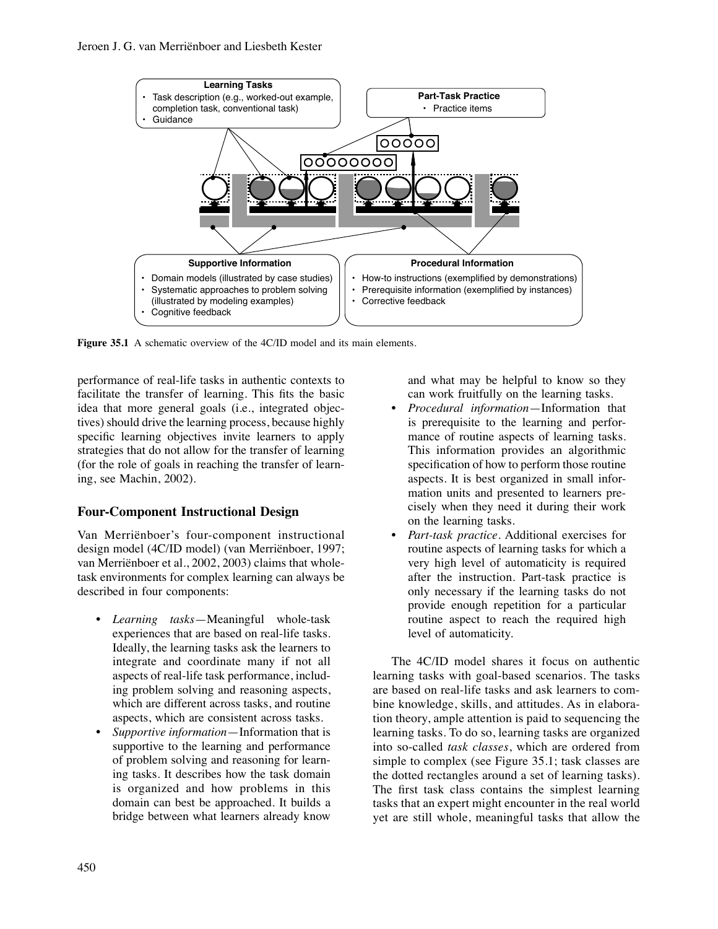

**Figure 35.1** A schematic overview of the 4C/ID model and its main elements.

performance of real-life tasks in authentic contexts to facilitate the transfer of learning. This fits the basic idea that more general goals (i.e., integrated objectives) should drive the learning process, because highly specific learning objectives invite learners to apply strategies that do not allow for the transfer of learning (for the role of goals in reaching the transfer of learning, see Machin, 2002).

# **Four-Component Instructional Design**

Van Merriënboer's four-component instructional design model (4C/ID model) (van Merriënboer, 1997; van Merriënboer et al., 2002, 2003) claims that wholetask environments for complex learning can always be described in four components:

- *Learning tasks*—Meaningful whole-task experiences that are based on real-life tasks. Ideally, the learning tasks ask the learners to integrate and coordinate many if not all aspects of real-life task performance, including problem solving and reasoning aspects, which are different across tasks, and routine aspects, which are consistent across tasks.
- *Supportive information*—Information that is supportive to the learning and performance of problem solving and reasoning for learning tasks. It describes how the task domain is organized and how problems in this domain can best be approached. It builds a bridge between what learners already know

and what may be helpful to know so they can work fruitfully on the learning tasks.

- *Procedural information*—Information that is prerequisite to the learning and performance of routine aspects of learning tasks. This information provides an algorithmic specification of how to perform those routine aspects. It is best organized in small information units and presented to learners precisely when they need it during their work on the learning tasks.
- *Part-task practice*. Additional exercises for routine aspects of learning tasks for which a very high level of automaticity is required after the instruction. Part-task practice is only necessary if the learning tasks do not provide enough repetition for a particular routine aspect to reach the required high level of automaticity.

The 4C/ID model shares it focus on authentic learning tasks with goal-based scenarios. The tasks are based on real-life tasks and ask learners to combine knowledge, skills, and attitudes. As in elaboration theory, ample attention is paid to sequencing the learning tasks. To do so, learning tasks are organized into so-called *task classes*, which are ordered from simple to complex (see Figure 35.1; task classes are the dotted rectangles around a set of learning tasks). The first task class contains the simplest learning tasks that an expert might encounter in the real world yet are still whole, meaningful tasks that allow the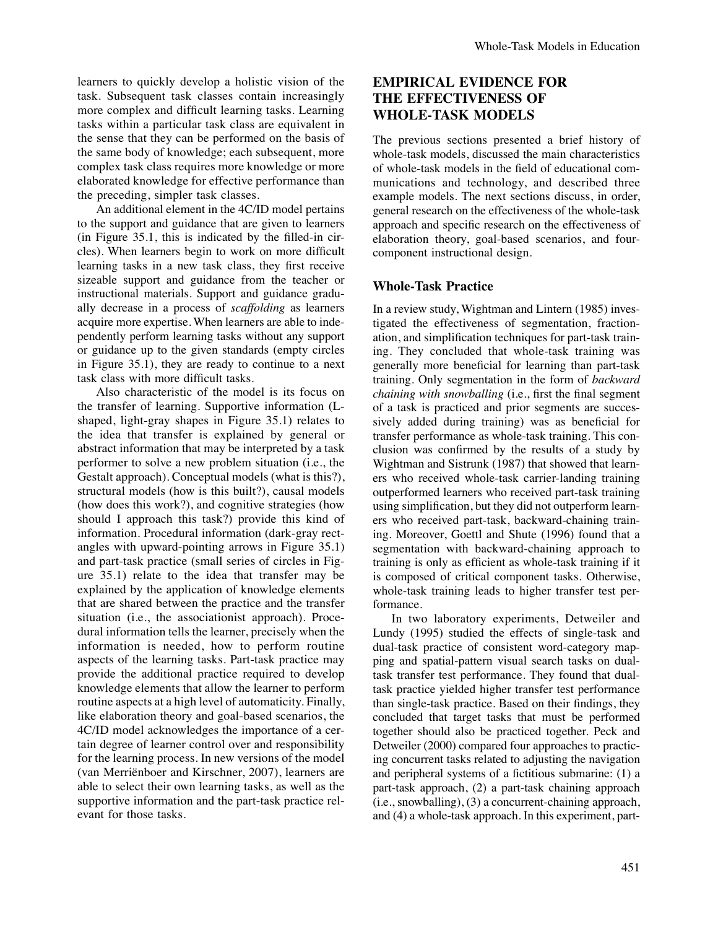learners to quickly develop a holistic vision of the task. Subsequent task classes contain increasingly more complex and difficult learning tasks. Learning tasks within a particular task class are equivalent in the sense that they can be performed on the basis of the same body of knowledge; each subsequent, more complex task class requires more knowledge or more elaborated knowledge for effective performance than the preceding, simpler task classes.

An additional element in the 4C/ID model pertains to the support and guidance that are given to learners (in Figure 35.1, this is indicated by the filled-in circles). When learners begin to work on more difficult learning tasks in a new task class, they first receive sizeable support and guidance from the teacher or instructional materials. Support and guidance gradually decrease in a process of *scaffolding* as learners acquire more expertise. When learners are able to independently perform learning tasks without any support or guidance up to the given standards (empty circles in Figure 35.1), they are ready to continue to a next task class with more difficult tasks.

Also characteristic of the model is its focus on the transfer of learning. Supportive information (Lshaped, light-gray shapes in Figure 35.1) relates to the idea that transfer is explained by general or abstract information that may be interpreted by a task performer to solve a new problem situation (i.e., the Gestalt approach). Conceptual models (what is this?), structural models (how is this built?), causal models (how does this work?), and cognitive strategies (how should I approach this task?) provide this kind of information. Procedural information (dark-gray rectangles with upward-pointing arrows in Figure 35.1) and part-task practice (small series of circles in Figure 35.1) relate to the idea that transfer may be explained by the application of knowledge elements that are shared between the practice and the transfer situation (i.e., the associationist approach). Procedural information tells the learner, precisely when the information is needed, how to perform routine aspects of the learning tasks. Part-task practice may provide the additional practice required to develop knowledge elements that allow the learner to perform routine aspects at a high level of automaticity. Finally, like elaboration theory and goal-based scenarios, the 4C/ID model acknowledges the importance of a certain degree of learner control over and responsibility for the learning process. In new versions of the model (van Merriënboer and Kirschner, 2007), learners are able to select their own learning tasks, as well as the supportive information and the part-task practice relevant for those tasks.

# **EMPIRICAL EVIDENCE FOR THE EFFECTIVENESS OF WHOLE-TASK MODELS**

The previous sections presented a brief history of whole-task models, discussed the main characteristics of whole-task models in the field of educational communications and technology, and described three example models. The next sections discuss, in order, general research on the effectiveness of the whole-task approach and specific research on the effectiveness of elaboration theory, goal-based scenarios, and fourcomponent instructional design.

#### **Whole-Task Practice**

In a review study, Wightman and Lintern (1985) investigated the effectiveness of segmentation, fractionation, and simplification techniques for part-task training. They concluded that whole-task training was generally more beneficial for learning than part-task training. Only segmentation in the form of *backward chaining with snowballing* (i.e., first the final segment of a task is practiced and prior segments are successively added during training) was as beneficial for transfer performance as whole-task training. This conclusion was confirmed by the results of a study by Wightman and Sistrunk (1987) that showed that learners who received whole-task carrier-landing training outperformed learners who received part-task training using simplification, but they did not outperform learners who received part-task, backward-chaining training. Moreover, Goettl and Shute (1996) found that a segmentation with backward-chaining approach to training is only as efficient as whole-task training if it is composed of critical component tasks. Otherwise, whole-task training leads to higher transfer test performance.

In two laboratory experiments, Detweiler and Lundy (1995) studied the effects of single-task and dual-task practice of consistent word-category mapping and spatial-pattern visual search tasks on dualtask transfer test performance. They found that dualtask practice yielded higher transfer test performance than single-task practice. Based on their findings, they concluded that target tasks that must be performed together should also be practiced together. Peck and Detweiler (2000) compared four approaches to practicing concurrent tasks related to adjusting the navigation and peripheral systems of a fictitious submarine: (1) a part-task approach, (2) a part-task chaining approach (i.e., snowballing), (3) a concurrent-chaining approach, and (4) a whole-task approach. In this experiment, part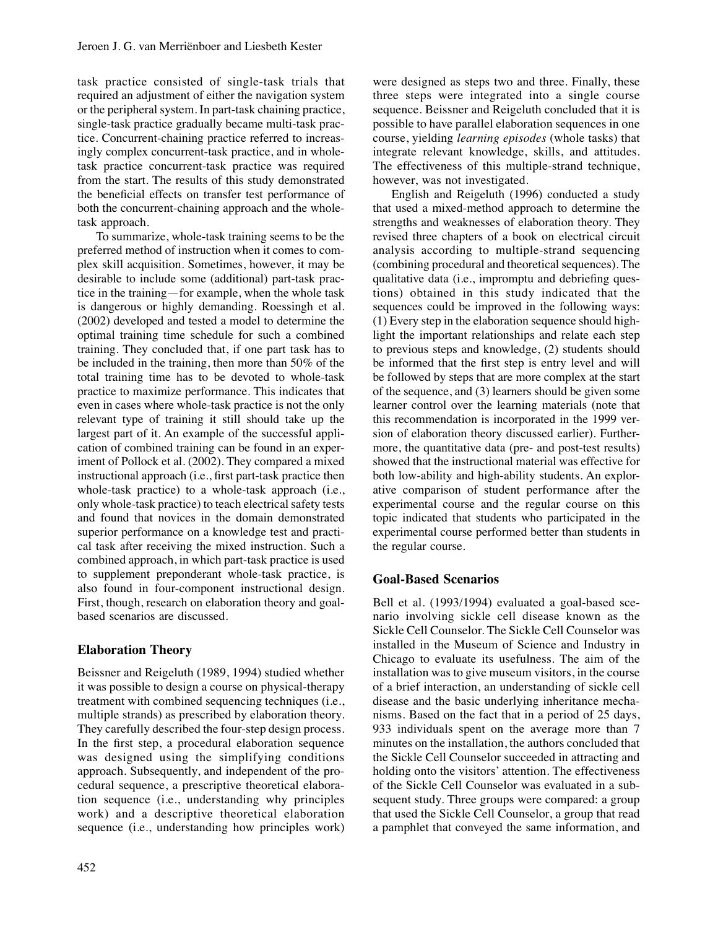task practice consisted of single-task trials that required an adjustment of either the navigation system or the peripheral system. In part-task chaining practice, single-task practice gradually became multi-task practice. Concurrent-chaining practice referred to increasingly complex concurrent-task practice, and in wholetask practice concurrent-task practice was required from the start. The results of this study demonstrated the beneficial effects on transfer test performance of both the concurrent-chaining approach and the wholetask approach.

To summarize, whole-task training seems to be the preferred method of instruction when it comes to complex skill acquisition. Sometimes, however, it may be desirable to include some (additional) part-task practice in the training—for example, when the whole task is dangerous or highly demanding. Roessingh et al. (2002) developed and tested a model to determine the optimal training time schedule for such a combined training. They concluded that, if one part task has to be included in the training, then more than 50% of the total training time has to be devoted to whole-task practice to maximize performance. This indicates that even in cases where whole-task practice is not the only relevant type of training it still should take up the largest part of it. An example of the successful application of combined training can be found in an experiment of Pollock et al. (2002). They compared a mixed instructional approach (i.e., first part-task practice then whole-task practice) to a whole-task approach (i.e., only whole-task practice) to teach electrical safety tests and found that novices in the domain demonstrated superior performance on a knowledge test and practical task after receiving the mixed instruction. Such a combined approach, in which part-task practice is used to supplement preponderant whole-task practice, is also found in four-component instructional design. First, though, research on elaboration theory and goalbased scenarios are discussed.

# **Elaboration Theory**

Beissner and Reigeluth (1989, 1994) studied whether it was possible to design a course on physical-therapy treatment with combined sequencing techniques (i.e., multiple strands) as prescribed by elaboration theory. They carefully described the four-step design process. In the first step, a procedural elaboration sequence was designed using the simplifying conditions approach. Subsequently, and independent of the procedural sequence, a prescriptive theoretical elaboration sequence (i.e., understanding why principles work) and a descriptive theoretical elaboration sequence (i.e., understanding how principles work)

452

were designed as steps two and three. Finally, these three steps were integrated into a single course sequence. Beissner and Reigeluth concluded that it is possible to have parallel elaboration sequences in one course, yielding *learning episodes* (whole tasks) that integrate relevant knowledge, skills, and attitudes. The effectiveness of this multiple-strand technique, however, was not investigated.

English and Reigeluth (1996) conducted a study that used a mixed-method approach to determine the strengths and weaknesses of elaboration theory. They revised three chapters of a book on electrical circuit analysis according to multiple-strand sequencing (combining procedural and theoretical sequences). The qualitative data (i.e., impromptu and debriefing questions) obtained in this study indicated that the sequences could be improved in the following ways: (1) Every step in the elaboration sequence should highlight the important relationships and relate each step to previous steps and knowledge, (2) students should be informed that the first step is entry level and will be followed by steps that are more complex at the start of the sequence, and (3) learners should be given some learner control over the learning materials (note that this recommendation is incorporated in the 1999 version of elaboration theory discussed earlier). Furthermore, the quantitative data (pre- and post-test results) showed that the instructional material was effective for both low-ability and high-ability students. An explorative comparison of student performance after the experimental course and the regular course on this topic indicated that students who participated in the experimental course performed better than students in the regular course.

# **Goal-Based Scenarios**

Bell et al. (1993/1994) evaluated a goal-based scenario involving sickle cell disease known as the Sickle Cell Counselor. The Sickle Cell Counselor was installed in the Museum of Science and Industry in Chicago to evaluate its usefulness. The aim of the installation was to give museum visitors, in the course of a brief interaction, an understanding of sickle cell disease and the basic underlying inheritance mechanisms. Based on the fact that in a period of 25 days, 933 individuals spent on the average more than 7 minutes on the installation, the authors concluded that the Sickle Cell Counselor succeeded in attracting and holding onto the visitors' attention. The effectiveness of the Sickle Cell Counselor was evaluated in a subsequent study. Three groups were compared: a group that used the Sickle Cell Counselor, a group that read a pamphlet that conveyed the same information, and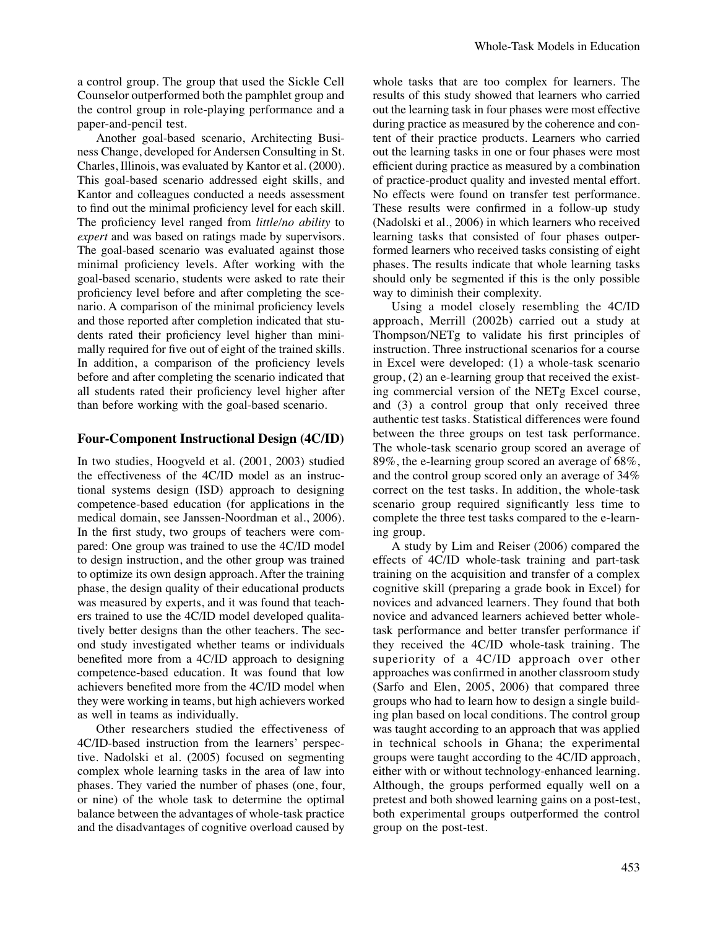a control group. The group that used the Sickle Cell Counselor outperformed both the pamphlet group and the control group in role-playing performance and a paper-and-pencil test.

Another goal-based scenario, Architecting Business Change, developed for Andersen Consulting in St. Charles, Illinois, was evaluated by Kantor et al. (2000). This goal-based scenario addressed eight skills, and Kantor and colleagues conducted a needs assessment to find out the minimal proficiency level for each skill. The proficiency level ranged from *little/no ability* to *expert* and was based on ratings made by supervisors. The goal-based scenario was evaluated against those minimal proficiency levels. After working with the goal-based scenario, students were asked to rate their proficiency level before and after completing the scenario. A comparison of the minimal proficiency levels and those reported after completion indicated that students rated their proficiency level higher than minimally required for five out of eight of the trained skills. In addition, a comparison of the proficiency levels before and after completing the scenario indicated that all students rated their proficiency level higher after than before working with the goal-based scenario.

#### **Four-Component Instructional Design (4C/ID)**

In two studies, Hoogveld et al. (2001, 2003) studied the effectiveness of the 4C/ID model as an instructional systems design (ISD) approach to designing competence-based education (for applications in the medical domain, see Janssen-Noordman et al., 2006). In the first study, two groups of teachers were compared: One group was trained to use the 4C/ID model to design instruction, and the other group was trained to optimize its own design approach. After the training phase, the design quality of their educational products was measured by experts, and it was found that teachers trained to use the 4C/ID model developed qualitatively better designs than the other teachers. The second study investigated whether teams or individuals benefited more from a 4C/ID approach to designing competence-based education. It was found that low achievers benefited more from the 4C/ID model when they were working in teams, but high achievers worked as well in teams as individually.

Other researchers studied the effectiveness of 4C/ID-based instruction from the learners' perspective. Nadolski et al. (2005) focused on segmenting complex whole learning tasks in the area of law into phases. They varied the number of phases (one, four, or nine) of the whole task to determine the optimal balance between the advantages of whole-task practice and the disadvantages of cognitive overload caused by

whole tasks that are too complex for learners. The results of this study showed that learners who carried out the learning task in four phases were most effective during practice as measured by the coherence and content of their practice products. Learners who carried out the learning tasks in one or four phases were most efficient during practice as measured by a combination of practice-product quality and invested mental effort. No effects were found on transfer test performance. These results were confirmed in a follow-up study (Nadolski et al., 2006) in which learners who received learning tasks that consisted of four phases outperformed learners who received tasks consisting of eight phases. The results indicate that whole learning tasks should only be segmented if this is the only possible way to diminish their complexity.

Using a model closely resembling the 4C/ID approach, Merrill (2002b) carried out a study at Thompson/NETg to validate his first principles of instruction. Three instructional scenarios for a course in Excel were developed: (1) a whole-task scenario group, (2) an e-learning group that received the existing commercial version of the NETg Excel course, and (3) a control group that only received three authentic test tasks. Statistical differences were found between the three groups on test task performance. The whole-task scenario group scored an average of 89%, the e-learning group scored an average of 68%, and the control group scored only an average of 34% correct on the test tasks. In addition, the whole-task scenario group required significantly less time to complete the three test tasks compared to the e-learning group.

A study by Lim and Reiser (2006) compared the effects of 4C/ID whole-task training and part-task training on the acquisition and transfer of a complex cognitive skill (preparing a grade book in Excel) for novices and advanced learners. They found that both novice and advanced learners achieved better wholetask performance and better transfer performance if they received the 4C/ID whole-task training. The superiority of a 4C/ID approach over other approaches was confirmed in another classroom study (Sarfo and Elen, 2005, 2006) that compared three groups who had to learn how to design a single building plan based on local conditions. The control group was taught according to an approach that was applied in technical schools in Ghana; the experimental groups were taught according to the 4C/ID approach, either with or without technology-enhanced learning. Although, the groups performed equally well on a pretest and both showed learning gains on a post-test, both experimental groups outperformed the control group on the post-test.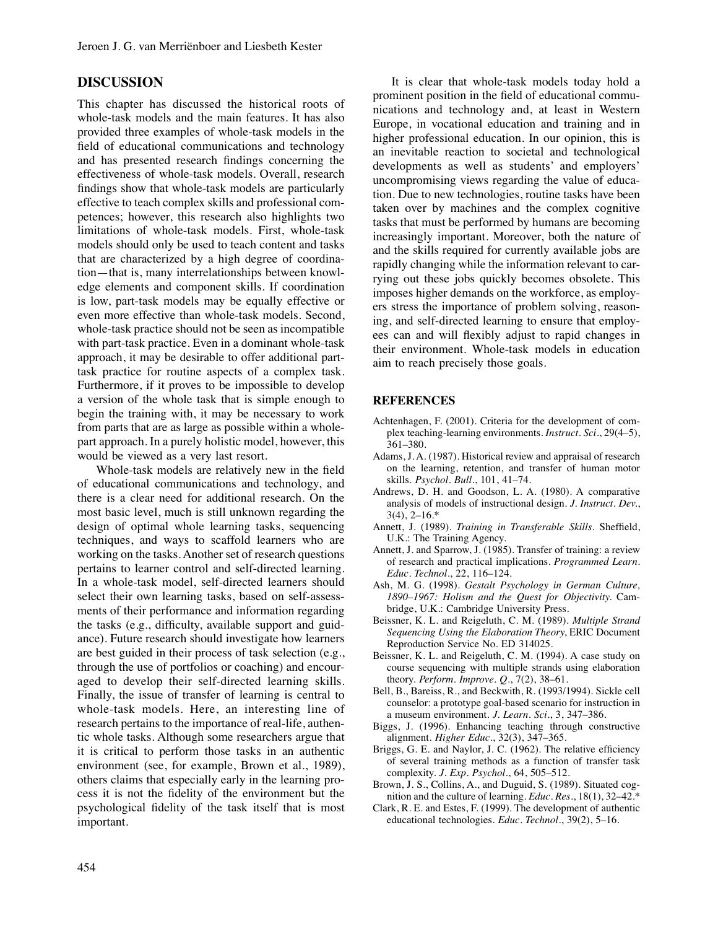## **DISCUSSION**

This chapter has discussed the historical roots of whole-task models and the main features. It has also provided three examples of whole-task models in the field of educational communications and technology and has presented research findings concerning the effectiveness of whole-task models. Overall, research findings show that whole-task models are particularly effective to teach complex skills and professional competences; however, this research also highlights two limitations of whole-task models. First, whole-task models should only be used to teach content and tasks that are characterized by a high degree of coordination—that is, many interrelationships between knowledge elements and component skills. If coordination is low, part-task models may be equally effective or even more effective than whole-task models. Second, whole-task practice should not be seen as incompatible with part-task practice. Even in a dominant whole-task approach, it may be desirable to offer additional parttask practice for routine aspects of a complex task. Furthermore, if it proves to be impossible to develop a version of the whole task that is simple enough to begin the training with, it may be necessary to work from parts that are as large as possible within a wholepart approach. In a purely holistic model, however, this would be viewed as a very last resort.

Whole-task models are relatively new in the field of educational communications and technology, and there is a clear need for additional research. On the most basic level, much is still unknown regarding the design of optimal whole learning tasks, sequencing techniques, and ways to scaffold learners who are working on the tasks. Another set of research questions pertains to learner control and self-directed learning. In a whole-task model, self-directed learners should select their own learning tasks, based on self-assessments of their performance and information regarding the tasks (e.g., difficulty, available support and guidance). Future research should investigate how learners are best guided in their process of task selection (e.g., through the use of portfolios or coaching) and encouraged to develop their self-directed learning skills. Finally, the issue of transfer of learning is central to whole-task models. Here, an interesting line of research pertains to the importance of real-life, authentic whole tasks. Although some researchers argue that it is critical to perform those tasks in an authentic environment (see, for example, Brown et al., 1989), others claims that especially early in the learning process it is not the fidelity of the environment but the psychological fidelity of the task itself that is most important.

It is clear that whole-task models today hold a prominent position in the field of educational communications and technology and, at least in Western Europe, in vocational education and training and in higher professional education. In our opinion, this is an inevitable reaction to societal and technological developments as well as students' and employers' uncompromising views regarding the value of education. Due to new technologies, routine tasks have been taken over by machines and the complex cognitive tasks that must be performed by humans are becoming increasingly important. Moreover, both the nature of and the skills required for currently available jobs are rapidly changing while the information relevant to carrying out these jobs quickly becomes obsolete. This imposes higher demands on the workforce, as employers stress the importance of problem solving, reasoning, and self-directed learning to ensure that employees can and will flexibly adjust to rapid changes in their environment. Whole-task models in education aim to reach precisely those goals.

#### **REFERENCES**

- Achtenhagen, F. (2001). Criteria for the development of complex teaching-learning environments. *Instruct. Sci.*, 29(4–5), 361–380.
- Adams, J. A. (1987). Historical review and appraisal of research on the learning, retention, and transfer of human motor skills. *Psychol. Bull.*, 101, 41–74.
- Andrews, D. H. and Goodson, L. A. (1980). A comparative analysis of models of instructional design. *J. Instruct. Dev.*,  $3(4)$ ,  $2-16.*$
- Annett, J. (1989). *Training in Transferable Skills*. Sheffield, U.K.: The Training Agency.
- Annett, J. and Sparrow, J. (1985). Transfer of training: a review of research and practical implications. *Programmed Learn. Educ. Technol.*, 22, 116–124.
- Ash, M. G. (1998). *Gestalt Psychology in German Culture, 1890–1967: Holism and the Quest for Objectivity*. Cambridge, U.K.: Cambridge University Press.
- Beissner, K. L. and Reigeluth, C. M. (1989). *Multiple Strand Sequencing Using the Elaboration Theory*, ERIC Document Reproduction Service No. ED 314025.
- Beissner, K. L. and Reigeluth, C. M. (1994). A case study on course sequencing with multiple strands using elaboration theory. *Perform. Improve. Q.*, 7(2), 38–61.
- Bell, B., Bareiss, R., and Beckwith, R. (1993/1994). Sickle cell counselor: a prototype goal-based scenario for instruction in a museum environment. *J. Learn. Sci.*, 3, 347–386.
- Biggs, J. (1996). Enhancing teaching through constructive alignment. *Higher Educ.*, 32(3), 347–365.
- Briggs, G. E. and Naylor, J. C. (1962). The relative efficiency of several training methods as a function of transfer task complexity. *J. Exp. Psychol.*, 64, 505–512.
- Brown, J. S., Collins, A., and Duguid, S. (1989). Situated cognition and the culture of learning. *Educ. Res.*, 18(1), 32–42.\*
- Clark, R. E. and Estes, F. (1999). The development of authentic educational technologies. *Educ. Technol.*, 39(2), 5–16.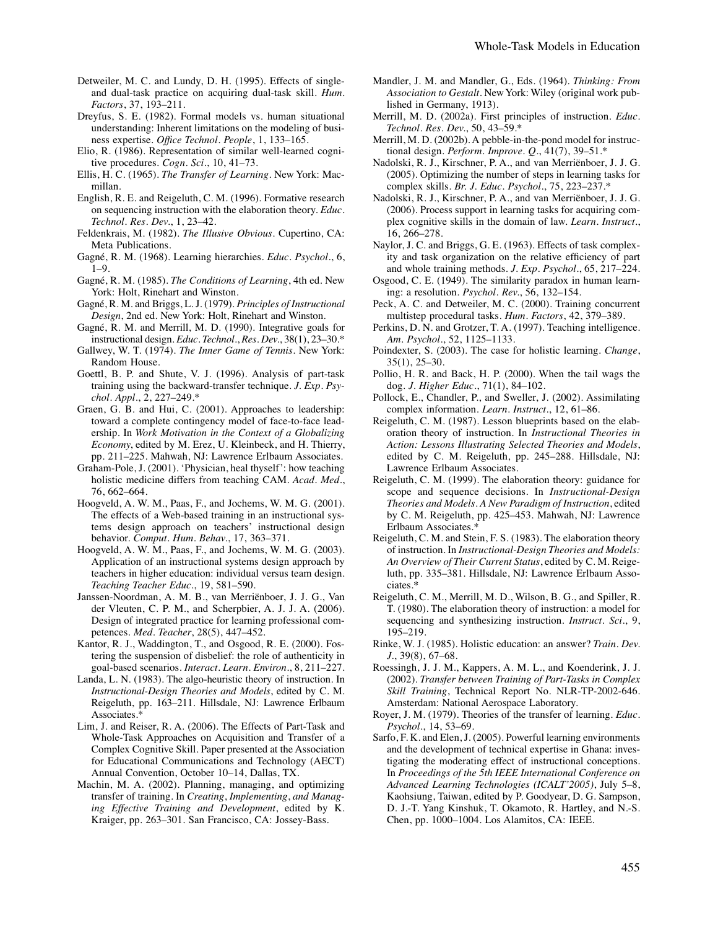- *Factors*, 37, 193–211. Dreyfus, S. E. (1982). Formal models vs. human situational understanding: Inherent limitations on the modeling of business expertise. *Office Technol. People*, 1, 133–165.
- Elio, R. (1986). Representation of similar well-learned cognitive procedures. *Cogn. Sci.*, 10, 41–73.
- Ellis, H. C. (1965). *The Transfer of Learning*. New York: Macmillan.
- English, R. E. and Reigeluth, C. M. (1996). Formative research on sequencing instruction with the elaboration theory. *Educ. Technol. Res. Dev.*, 1, 23–42.
- Feldenkrais, M. (1982). *The Illusive Obvious*. Cupertino, CA: Meta Publications.
- Gagné, R. M. (1968). Learning hierarchies. *Educ. Psychol.*, 6,  $1 - 9$
- Gagné, R. M. (1985). *The Conditions of Learning*, 4th ed. New York: Holt, Rinehart and Winston.
- Gagné, R. M. and Briggs, L. J. (1979). *Principles of Instructional Design*, 2nd ed. New York: Holt, Rinehart and Winston.
- Gagné, R. M. and Merrill, M. D. (1990). Integrative goals for instructional design. *Educ. Technol.*, *Res. Dev.*, 38(1), 23–30.\*
- Gallwey, W. T. (1974). *The Inner Game of Tennis*. New York: Random House.
- Goettl, B. P. and Shute, V. J. (1996). Analysis of part-task training using the backward-transfer technique. *J. Exp. Psychol. Appl.*, 2, 227–249.\*
- Graen, G. B. and Hui, C. (2001). Approaches to leadership: toward a complete contingency model of face-to-face leadership. In *Work Motivation in the Context of a Globalizing Economy*, edited by M. Erez, U. Kleinbeck, and H. Thierry, pp. 211–225. Mahwah, NJ: Lawrence Erlbaum Associates.
- Graham-Pole, J. (2001). 'Physician, heal thyself': how teaching holistic medicine differs from teaching CAM. *Acad. Med.*, 76, 662–664.
- Hoogveld, A. W. M., Paas, F., and Jochems, W. M. G. (2001). The effects of a Web-based training in an instructional systems design approach on teachers' instructional design behavior. *Comput. Hum. Behav.*, 17, 363–371.
- Hoogveld, A. W. M., Paas, F., and Jochems, W. M. G. (2003). Application of an instructional systems design approach by teachers in higher education: individual versus team design. *Teaching Teacher Educ.*, 19, 581–590.
- Janssen-Noordman, A. M. B., van Merriënboer, J. J. G., Van der Vleuten, C. P. M., and Scherpbier, A. J. J. A. (2006). Design of integrated practice for learning professional competences. *Med. Teacher*, 28(5), 447–452.
- Kantor, R. J., Waddington, T., and Osgood, R. E. (2000). Fostering the suspension of disbelief: the role of authenticity in goal-based scenarios. *Interact. Learn. Environ.*, 8, 211–227.
- Landa, L. N. (1983). The algo-heuristic theory of instruction. In *Instructional-Design Theories and Models*, edited by C. M. Reigeluth, pp. 163–211. Hillsdale, NJ: Lawrence Erlbaum Associates.\*
- Lim, J. and Reiser, R. A. (2006). The Effects of Part-Task and Whole-Task Approaches on Acquisition and Transfer of a Complex Cognitive Skill. Paper presented at the Association for Educational Communications and Technology (AECT) Annual Convention, October 10–14, Dallas, TX.
- Machin, M. A. (2002). Planning, managing, and optimizing transfer of training. In *Creating*, *Implementing*, *and Managing Effective Training and Development*, edited by K. Kraiger, pp. 263–301. San Francisco, CA: Jossey-Bass.
- Mandler, J. M. and Mandler, G., Eds. (1964). *Thinking: From Association to Gestalt*. New York: Wiley (original work published in Germany, 1913).
- Merrill, M. D. (2002a). First principles of instruction. *Educ. Technol. Res. Dev.*, 50, 43–59.\*
- Merrill, M. D. (2002b). A pebble-in-the-pond model for instructional design. *Perform. Improve. Q.*, 41(7), 39–51.\*
- Nadolski, R. J., Kirschner, P. A., and van Merriënboer, J. J. G. (2005). Optimizing the number of steps in learning tasks for complex skills. *Br. J. Educ. Psychol.*, 75, 223–237.\*
- Nadolski, R. J., Kirschner, P. A., and van Merriënboer, J. J. G. (2006). Process support in learning tasks for acquiring complex cognitive skills in the domain of law. *Learn. Instruct.*, 16, 266–278.
- Naylor, J. C. and Briggs, G. E. (1963). Effects of task complexity and task organization on the relative efficiency of part and whole training methods. *J. Exp. Psychol.*, 65, 217–224.
- Osgood, C. E. (1949). The similarity paradox in human learning: a resolution. *Psychol. Rev.*, 56, 132–154.
- Peck, A. C. and Detweiler, M. C. (2000). Training concurrent multistep procedural tasks. *Hum. Factors*, 42, 379–389.
- Perkins, D. N. and Grotzer, T. A. (1997). Teaching intelligence. *Am. Psychol.*, 52, 1125–1133.
- Poindexter, S. (2003). The case for holistic learning. *Change*, 35(1), 25–30.
- Pollio, H. R. and Back, H. P. (2000). When the tail wags the dog. *J. Higher Educ.*, 71(1), 84–102.
- Pollock, E., Chandler, P., and Sweller, J. (2002). Assimilating complex information. *Learn. Instruct.*, 12, 61–86.
- Reigeluth, C. M. (1987). Lesson blueprints based on the elaboration theory of instruction. In *Instructional Theories in Action: Lessons Illustrating Selected Theories and Models*, edited by C. M. Reigeluth, pp. 245–288. Hillsdale, NJ: Lawrence Erlbaum Associates.
- Reigeluth, C. M. (1999). The elaboration theory: guidance for scope and sequence decisions. In *Instructional-Design Theories and Models. A New Paradigm of Instruction*, edited by C. M. Reigeluth, pp. 425–453. Mahwah, NJ: Lawrence Erlbaum Associates.\*
- Reigeluth, C. M. and Stein, F. S. (1983). The elaboration theory of instruction. In *Instructional-Design Theories and Models: An Overview of Their Current Status*, edited by C. M. Reigeluth, pp. 335–381. Hillsdale, NJ: Lawrence Erlbaum Associates.\*
- Reigeluth, C. M., Merrill, M. D., Wilson, B. G., and Spiller, R. T. (1980). The elaboration theory of instruction: a model for sequencing and synthesizing instruction. *Instruct. Sci.*, 9, 195–219.
- Rinke, W. J. (1985). Holistic education: an answer? *Train. Dev. J.*, 39(8), 67–68.
- Roessingh, J. J. M., Kappers, A. M. L., and Koenderink, J. J. (2002). *Transfer between Training of Part-Tasks in Complex Skill Training*, Technical Report No. NLR-TP-2002-646. Amsterdam: National Aerospace Laboratory.
- Royer, J. M. (1979). Theories of the transfer of learning. *Educ. Psychol.*, 14, 53–69.
- Sarfo, F. K. and Elen, J. (2005). Powerful learning environments and the development of technical expertise in Ghana: investigating the moderating effect of instructional conceptions. In *Proceedings of the 5th IEEE International Conference on Advanced Learning Technologies (ICALT'2005)*, July 5–8, Kaohsiung, Taiwan, edited by P. Goodyear, D. G. Sampson, D. J.-T. Yang Kinshuk, T. Okamoto, R. Hartley, and N.-S. Chen, pp. 1000–1004. Los Alamitos, CA: IEEE.